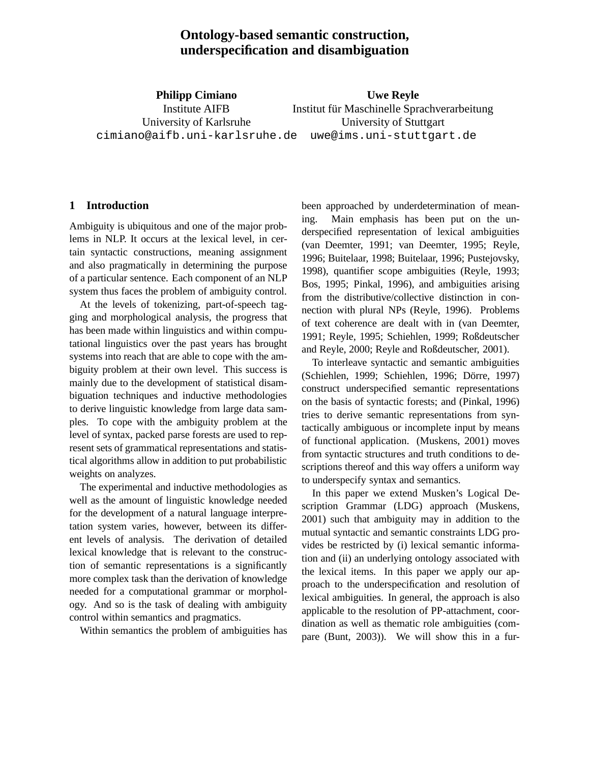# **Ontology-based semantic construction, underspecification and disambiguation**

**Philipp Cimiano** Institute AIFB University of Karlsruhe cimiano@aifb.uni-karlsruhe.de uwe@ims.uni-stuttgart.de

**Uwe Reyle** Institut für Maschinelle Sprachverarbeitung University of Stuttgart

## **1 Introduction**

Ambiguity is ubiquitous and one of the major problems in NLP. It occurs at the lexical level, in certain syntactic constructions, meaning assignment and also pragmatically in determining the purpose of a particular sentence. Each component of an NLP system thus faces the problem of ambiguity control.

At the levels of tokenizing, part-of-speech tagging and morphological analysis, the progress that has been made within linguistics and within computational linguistics over the past years has brought systems into reach that are able to cope with the ambiguity problem at their own level. This success is mainly due to the development of statistical disambiguation techniques and inductive methodologies to derive linguistic knowledge from large data samples. To cope with the ambiguity problem at the level of syntax, packed parse forests are used to represent sets of grammatical representations and statistical algorithms allow in addition to put probabilistic weights on analyzes.

The experimental and inductive methodologies as well as the amount of linguistic knowledge needed for the development of a natural language interpretation system varies, however, between its different levels of analysis. The derivation of detailed lexical knowledge that is relevant to the construction of semantic representations is a significantly more complex task than the derivation of knowledge needed for a computational grammar or morphology. And so is the task of dealing with ambiguity control within semantics and pragmatics.

Within semantics the problem of ambiguities has

been approached by underdetermination of meaning. Main emphasis has been put on the underspecified representation of lexical ambiguities (van Deemter, 1991; van Deemter, 1995; Reyle, 1996; Buitelaar, 1998; Buitelaar, 1996; Pustejovsky, 1998), quantifier scope ambiguities (Reyle, 1993; Bos, 1995; Pinkal, 1996), and ambiguities arising from the distributive/collective distinction in connection with plural NPs (Reyle, 1996). Problems of text coherence are dealt with in (van Deemter, 1991; Reyle, 1995; Schiehlen, 1999; Roßdeutscher and Reyle, 2000; Reyle and Roßdeutscher, 2001).

To interleave syntactic and semantic ambiguities (Schiehlen, 1999; Schiehlen, 1996; Dörre, 1997) construct underspecified semantic representations on the basis of syntactic forests; and (Pinkal, 1996) tries to derive semantic representations from syntactically ambiguous or incomplete input by means of functional application. (Muskens, 2001) moves from syntactic structures and truth conditions to descriptions thereof and this way offers a uniform way to underspecify syntax and semantics.

In this paper we extend Musken's Logical Description Grammar (LDG) approach (Muskens, 2001) such that ambiguity may in addition to the mutual syntactic and semantic constraints LDG provides be restricted by (i) lexical semantic information and (ii) an underlying ontology associated with the lexical items. In this paper we apply our approach to the underspecification and resolution of lexical ambiguities. In general, the approach is also applicable to the resolution of PP-attachment, coordination as well as thematic role ambiguities (compare (Bunt, 2003)). We will show this in a fur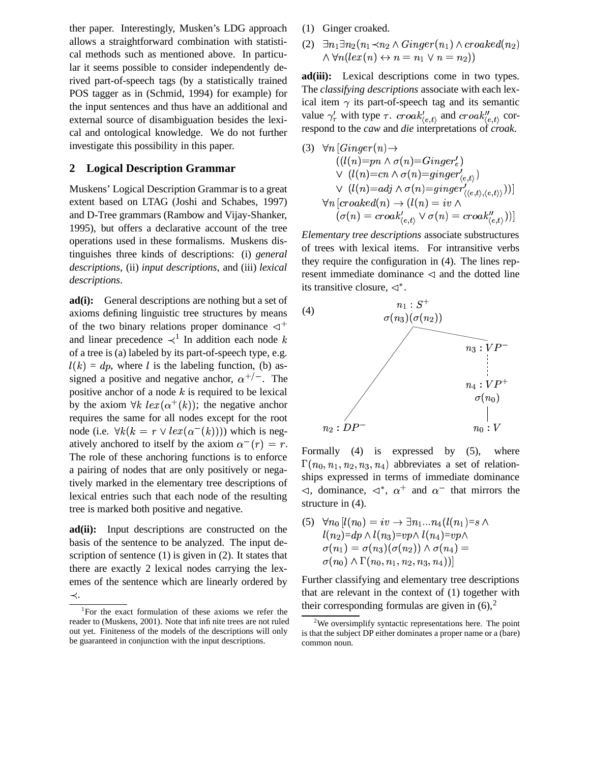ther paper. Interestingly, Musken's LDG approach allows a straightforward combination with statistical methods such as mentioned above. In particular it seems possible to consider independently derived part-of-speech tags (by a statistically trained POS tagger as in (Schmid, 1994) for example) for the input sentences and thus have an additional and external source of disambiguation besides the lexical and ontological knowledge. We do not further investigate this possibility in this paper.

#### **2 Logical Description Grammar**

Muskens' Logical Description Grammar is to a great extent based on LTAG (Joshi and Schabes, 1997) and D-Tree grammars (Rambow and Vijay-Shanker, 1995), but offers a declarative account of the tree operations used in these formalisms. Muskens distinguishes three kinds of descriptions: (i) *general descriptions*, (ii) *input descriptions*, and (iii) *lexical descriptions*.

**ad(i):** General descriptions are nothing but a set of axioms defining linguistic tree structures by means of the two binary relations proper dominance  $\triangleleft^+$ and linear precedence  $\prec^1$  In addition each node k of a tree is (a) labeled by its part-of-speech type, e.g.  $l(k) = dp$ , where l is the labeling function, (b) assigned a positive and negative anchor,  $\alpha^{+/-}$ . The positive anchor of a node  $k$  is required to be lexical by the axiom  $\forall k \text{ } lex(\alpha^+(k))$ ; the negative anchor requires the same for all nodes except for the root node (i.e.  $\forall k(k = r \lor lex(\alpha^{-1}(k)))$ ) which is negatively anchored to itself by the axiom  $\alpha^{-}(r) = r$ . The role of these anchoring functions is to enforce a pairing of nodes that are only positively or negatively marked in the elementary tree descriptions of lexical entries such that each node of the resulting tree is marked both positive and negative.

**ad(ii):** Input descriptions are constructed on the basis of the sentence to be analyzed. The input description of sentence (1) is given in (2). It states that there are exactly 2 lexical nodes carrying the lexemes of the sentence which are linearly ordered by  $\prec$  .

- (1) Ginger croaked.
- (2)  $\exists n_1 \exists n_2 (n_1 \prec n_2 \land Ginger(n_1) \land croaked(n_2))$  $\land \forall n (lex(n) \leftrightarrow n = n_1 \lor n = n_2))$

**ad(iii):** Lexical descriptions come in two types. The *classifying descriptions* associate with each lexical item  $\gamma$  its part-of-speech tag and its semantic value  $\gamma_{\tau}$  with type  $\tau$ .  $\text{croad}t_{\langle e,t \rangle}$  and  $\text{croad}t_{\langle e,t \rangle}$  correspond to the *caw* and *die* interpretations of *croak*.

(3) 
$$
\forall n \left[ Ginger(n) \rightarrow \\ ((l(n)=pn \land \sigma(n)=Ginger'_{e}) \\ \lor (l(n)=cn \land \sigma(n)=ginger'_{(e,t)}) \\ \lor (l(n)=adj \land \sigma(n)=ginger'_{\langle (e,t), \langle e,t \rangle \rangle})) \right] \\ \forall n \left[ croaked(n) \rightarrow (l(n) = iv \land \\ (\sigma(n)=croak'_{\langle e,t \rangle} \lor \sigma(n)=croak''_{\langle e,t \rangle})) \right]
$$

*Elementary tree descriptions* associate substructures of trees with lexical items. For intransitive verbs they require the configuration in (4). The lines represent immediate dominance  $\triangleleft$  and the dotted line its transitive closure,  $\triangleleft^*$ .



Formally (4) is expressed by (5), where  $\Gamma(n_0, n_1, n_2, n_3, n_4)$  abbreviates a set of relationships expressed in terms of immediate dominance  $\triangleleft$ , dominance,  $\triangleleft^*$ ,  $\alpha^+$  and  $\alpha^-$  that mirrors the structure in (4).

(5)  $\forall n_0$   $l(n_0) = iv \rightarrow \exists n_1...n_4$   $(l(n_1)=s \land$  $l(n_2)$ =d $p\wedge l(n_3)$ = $vp\wedge l(n_4)$ = $vp\wedge$  $\sigma(n_1) = \sigma(n_3)(\sigma(n_2)) \wedge \sigma(n_4) =$  $\sigma(n_0) \wedge \Gamma(n_0, n_1, n_2, n_3, n_4))$ 

Further classifying and elementary tree descriptions that are relevant in the context of (1) together with their corresponding formulas are given in  $(6)$ ,  $^{2}$ 

<sup>1</sup> For the exact formulation of these axioms we refer the reader to (Muskens, 2001). Note that infinite trees are not ruled out yet. Finiteness of the models of the descriptions will only be guaranteed in conjunction with the input descriptions.

<sup>2</sup>We oversimplify syntactic representations here. The point is that the subject DP either dominates a proper name or a (bare) common noun.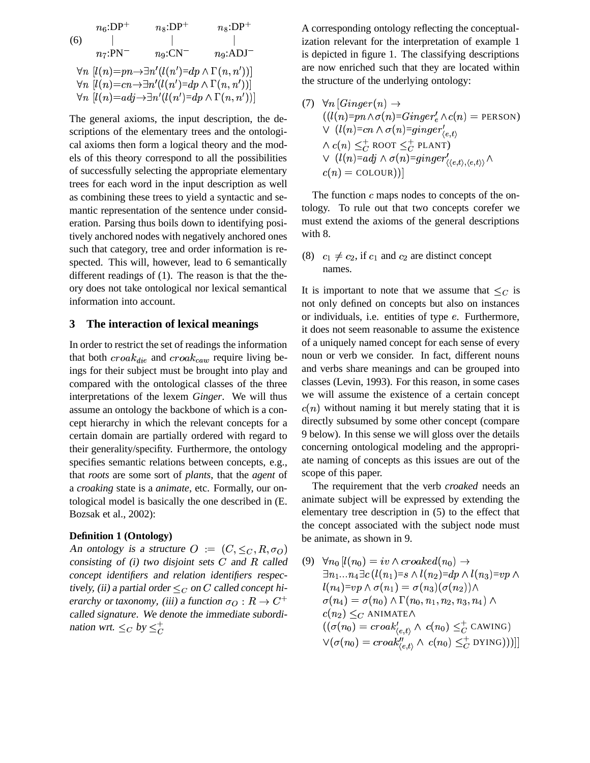$$
n_{6}:DP^{+}
$$
  
\n
$$
n_{8}:DP^{+}
$$
  
\n
$$
n_{7}:PN^{-}
$$
  
\n
$$
n_{9}:CN^{-}
$$
  
\n
$$
n_{9}:ADJ^{-}
$$
  
\n
$$
\forall n \ [l(n)=pn \rightarrow \exists n' (l(n')=dp \land \Gamma(n,n'))]
$$
  
\n
$$
\forall n \ [l(n)=cn \rightarrow \exists n' (l(n')=dp \land \Gamma(n,n'))]
$$
  
\n
$$
\forall n \ [l(n)=adj \rightarrow \exists n' (l(n')=dp \land \Gamma(n,n'))]
$$

The general axioms, the input description, the descriptions of the elementary trees and the ontological axioms then form a logical theory and the models of this theory correspond to all the possibilities of successfully selecting the appropriate elementary trees for each word in the input description as well as combining these trees to yield a syntactic and semantic representation of the sentence under consideration. Parsing thus boils down to identifying positively anchored nodes with negatively anchored ones such that category, tree and order information is respected. This will, however, lead to 6 semantically different readings of (1). The reason is that the theory does not take ontological nor lexical semantical information into account.

#### **3 The interaction of lexical meanings**

In order to restrict the set of readings the information that both  $croak_{die}$  and  $croak_{caw}$  require living beings for their subject must be brought into play and compared with the ontological classes of the three interpretations of the lexem *Ginger*. We will thus assume an ontology the backbone of which is a concept hierarchy in which the relevant concepts for a certain domain are partially ordered with regard to their generality/specifity. Furthermore, the ontology specifies semantic relations between concepts, e.g., that *roots* are some sort of *plants*, that the *agent* of a *croaking* state is a *animate*, etc. Formally, our ontological model is basically the one described in (E. Bozsak et al., 2002):

#### **Definition 1 (Ontology)**

An ontology is a structure  $O := (C, \leq_C, R, \sigma_O)$ consisting of (i) two disjoint sets C and R called (9)  $\forall$ *concept identifiers* and *relation identifiers* respectively, (ii) a partial order  $\leq_C$  on C called *concept* hi*erarchy* or *taxonomy*, (iii) a function  $\sigma_Q : R \to C^+$ called *signature*. We denote the immediate subordination wrt.  $\leq_C$  by  $\leq_C^+$  $\blacksquare$ 

A corresponding ontology reflecting the conceptualization relevant for the interpretation of example 1 is depicted in figure 1. The classifying descriptions are now enriched such that they are located within the structure of the underlying ontology:

(7) 
$$
\forall n \left[ Ginger(n) \rightarrow \right. \left( \left( l(n) = pn \land \sigma(n) = Ginger_{e}^{\prime} \land c(n) \right) = \text{PERSON} \right)
$$
\n
$$
\lor \left( l(n) = cn \land \sigma(n) = ginger_{\langle e, t \rangle}^{\prime} \right.
$$
\n
$$
\land \left( c(n) \leq \frac{1}{C} \text{ ROOT} \leq \frac{1}{C} \text{PLANT} \right)
$$
\n
$$
\lor \left( l(n) = adj \land \sigma(n) = ginger_{\langle \langle e, t \rangle, \langle e, t \rangle}^{\prime} \land \right.
$$
\n
$$
c(n) = \text{COLOUR})
$$
)

The function  $c$  maps nodes to concepts of the ontology. To rule out that two concepts corefer we must extend the axioms of the general descriptions with 8.

(8)  $c_1 \neq c_2$ , if  $c_1$  and  $c_2$  are distinct concept names.

It is important to note that we assume that  $\leq_C$  is not only defined on concepts but also on instances or individuals, i.e. entities of type e. Furthermore, it does not seem reasonable to assume the existence of a uniquely named concept for each sense of every noun or verb we consider. In fact, different nouns and verbs share meanings and can be grouped into classes (Levin, 1993). For this reason, in some cases we will assume the existence of a certain concept  $c(n)$  without naming it but merely stating that it is directly subsumed by some other concept (compare 9 below). In this sense we will gloss over the details concerning ontological modeling and the appropriate naming of concepts as this issues are out of the scope of this paper.

The requirement that the verb *croaked* needs an animate subject will be expressed by extending the elementary tree description in (5) to the effect that the concept associated with the subject node must be animate, as shown in 9.

 $C^+$   $\sigma(n_4) = \sigma(n_0) \wedge \Gamma(n_0, n_1, n_2, n_3, n_4) \wedge$  $(9) \quad \forall n_0 \left[ l(n_0) = iv \wedge croaked(n_0) \rightarrow 0 \right]$  $\exists n_1...n_4\exists c\, (l\,(n_1)$ = $s\wedge l(n_2)$ =d $p\wedge l(n_3)$ = $vp\wedge$  $l(n_4){=}vp\wedge \sigma(n_1)=\sigma(n_3)(\sigma(n_2))\wedge$  $c(n_2)\leq_C$  animate $\wedge$  $((\sigma(n_0) = croak_{\ell_{eA}}') \wedge c(n_0) \leq_C^+ \text{CAWING})$  $\mathcal{V}(\sigma(n_0) = croak_{\ell+1}^{\prime\prime} \wedge c(n_0) \leq_C^+ \text{DYING}))$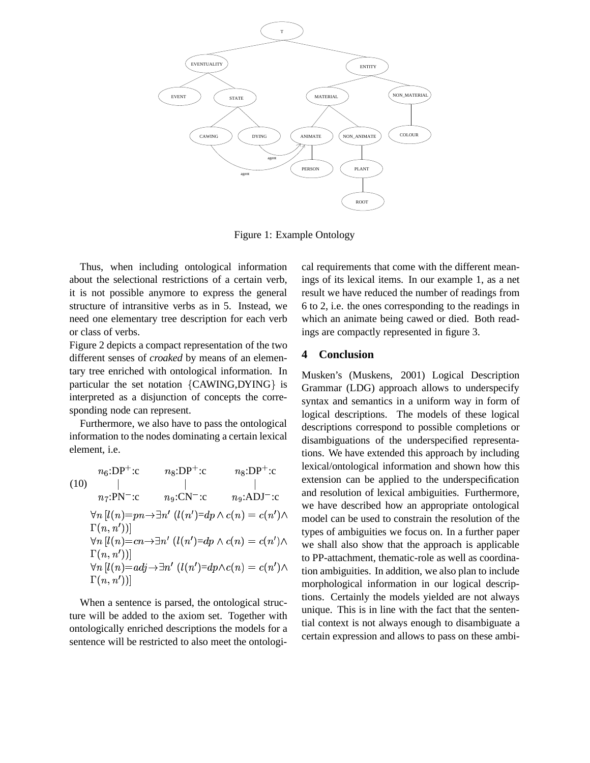

Figure 1: Example Ontology

Thus, when including ontological information about the selectional restrictions of a certain verb, it is not possible anymore to express the general structure of intransitive verbs as in 5. Instead, we need one elementary tree description for each verb or class of verbs.

Figure 2 depicts a compact representation of the two different senses of *croaked* by means of an elementary tree enriched with ontological information. In particular the set notation {CAWING,DYING} is interpreted as a disjunction of concepts the corresponding node can represent.

Furthermore, we also have to pass the ontological information to the nodes dominating a certain lexical element, i.e.

(10) 
$$
n_6:\text{DP}^+\text{:}c
$$
  $n_8:\text{DP}^+\text{:}c$   $n_8:\text{DP}^+\text{:}c$   $\text{lexl}$   
\n $n_7:\text{PN}^-\text{:}c$   $n_9:\text{CN}^-\text{:}c$   $n_9:\text{ADJ}^-\text{:}c$  and  
\n $\forall n [l(n) = pn \rightarrow \exists n' (l(n') = dp \land c(n) = c(n') \land \text{mod } n_0)$   
\n $\Gamma(n, n'))]$   
\n $\forall n [l(n) = cn \rightarrow \exists n' (l(n') = dp \land c(n) = c(n') \land \text{mod } n_0)$   
\n $\forall n [l(n) = adj \rightarrow \exists n' (l(n') = dp \land c(n) = c(n') \land \text{mod } n_0)$   
\n $\Gamma(n, n'))]$ 

When a sentence is parsed, the ontological structure will be added to the axiom set. Together with ontologically enriched descriptions the models for a sentence will be restricted to also meet the ontological requirements that come with the different meanings of its lexical items. In our example 1, as a net result we have reduced the number of readings from 6 to 2, i.e. the ones corresponding to the readings in which an animate being cawed or died. Both readings are compactly represented in figure 3.

## **4 Conclusion**

 $dp \wedge c(n) = c(n') \wedge$  model can be used to constrain the resolution of the  $dp \wedge c(n) = c(n') \wedge$  we shall also show that the approach is applicable  $\zeta(n) = c(n')\wedge$  tion ambiguities. In addition, we also plan to include Musken's (Muskens, 2001) Logical Description Grammar (LDG) approach allows to underspecify syntax and semantics in a uniform way in form of logical descriptions. The models of these logical descriptions correspond to possible completions or disambiguations of the underspecified representations. We have extended this approach by including lexical/ontological information and shown how this extension can be applied to the underspecification and resolution of lexical ambiguities. Furthermore, we have described how an appropriate ontological types of ambiguities we focus on. In a further paper to PP-attachment, thematic-role as well as coordinamorphological information in our logical descriptions. Certainly the models yielded are not always unique. This is in line with the fact that the sentential context is not always enough to disambiguate a certain expression and allows to pass on these ambi-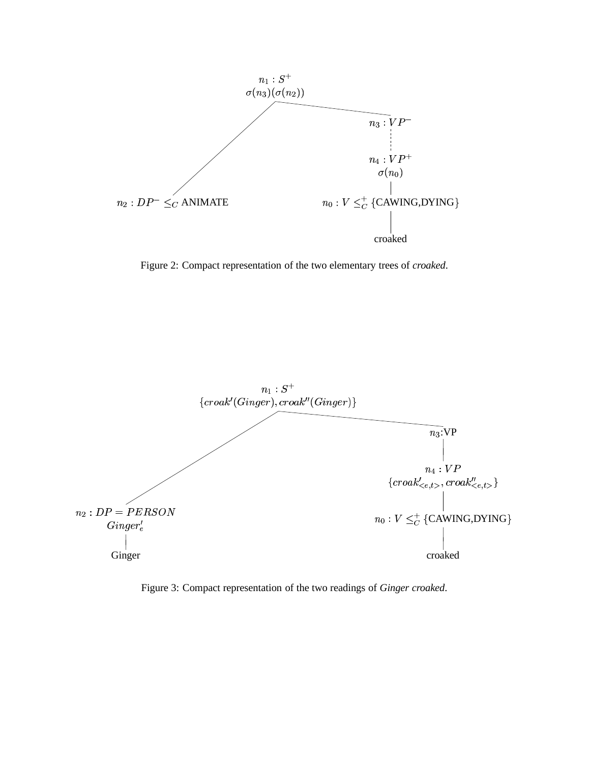

Figure 2: Compact representation of the two elementary trees of *croaked*.



Figure 3: Compact representation of the two readings of *Ginger croaked*.